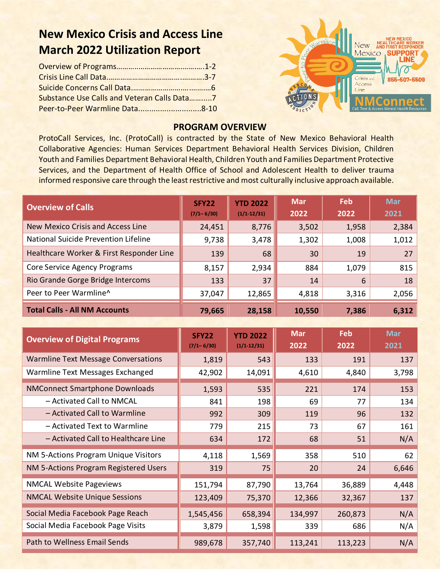# **New Mexico Crisis and Access Line March 2022 Utilization Report**

| Substance Use Calls and Veteran Calls Data7 |  |
|---------------------------------------------|--|
|                                             |  |



#### **PROGRAM OVERVIEW**

ProtoCall Services, Inc. (ProtoCall) is contracted by the State of New Mexico Behavioral Health Collaborative Agencies: Human Services Department Behavioral Health Services Division, Children Youth and Families Department Behavioral Health, Children Youth and Families Department Protective Services, and the Department of Health Office of School and Adolescent Health to deliver trauma informed responsive care through the least restrictive and most culturally inclusive approach available.

| <b>Overview of Calls</b>                 | SFY <sub>22</sub><br>$(7/1 - 6/30)$ | <b>YTD 2022</b><br>$(1/1-12/31)$ | <b>Mar</b><br>2022 | Feb<br>2022 | <b>Mar</b><br>2021 |
|------------------------------------------|-------------------------------------|----------------------------------|--------------------|-------------|--------------------|
| New Mexico Crisis and Access Line        | 24,451                              | 8,776                            | 3,502              | 1,958       | 2,384              |
| National Suicide Prevention Lifeline     | 9,738                               | 3,478                            | 1,302              | 1,008       | 1,012              |
| Healthcare Worker & First Responder Line | 139                                 | 68                               | 30                 | 19          | 27                 |
| Core Service Agency Programs             | 8,157                               | 2,934                            | 884                | 1,079       | 815                |
| Rio Grande Gorge Bridge Intercoms        | 133                                 | 37                               | 14                 | 6           | 18                 |
| Peer to Peer Warmline^                   | 37,047                              | 12,865                           | 4,818              | 3,316       | 2,056              |
| <b>Total Calls - All NM Accounts</b>     | 79,665                              | 28,158                           | 10,550             | 7,386       | 6,312              |

| <b>Overview of Digital Programs</b>        | <b>SFY22</b><br>$(7/1 - 6/30)$ | <b>YTD 2022</b><br>$(1/1 - 12/31)$ | <b>Mar</b><br>2022 | <b>Feb</b><br>2022 | <b>Mar</b><br>2021 |
|--------------------------------------------|--------------------------------|------------------------------------|--------------------|--------------------|--------------------|
| <b>Warmline Text Message Conversations</b> | 1,819                          | 543                                | 133                | 191                | 137                |
| Warmline Text Messages Exchanged           | 42,902                         | 14,091                             | 4,610              | 4,840              | 3,798              |
| <b>NMConnect Smartphone Downloads</b>      | 1,593                          | 535                                | 221                | 174                | 153                |
| - Activated Call to NMCAL                  | 841                            | 198                                | 69                 | 77                 | 134                |
| - Activated Call to Warmline               | 992                            | 309                                | 119                | 96                 | 132                |
| - Activated Text to Warmline               | 779                            | 215                                | 73                 | 67                 | 161                |
| - Activated Call to Healthcare Line        | 634                            | 172                                | 68                 | 51                 | N/A                |
| NM 5-Actions Program Unique Visitors       | 4,118                          | 1,569                              | 358                | 510                | 62                 |
| NM 5-Actions Program Registered Users      | 319                            | 75                                 | 20                 | 24                 | 6,646              |
| <b>NMCAL Website Pageviews</b>             | 151,794                        | 87,790                             | 13,764             | 36,889             | 4,448              |
| <b>NMCAL Website Unique Sessions</b>       | 123,409                        | 75,370                             | 12,366             | 32,367             | 137                |
| Social Media Facebook Page Reach           | 1,545,456                      | 658,394                            | 134,997            | 260,873            | N/A                |
| Social Media Facebook Page Visits          | 3,879                          | 1,598                              | 339                | 686                | N/A                |
| Path to Wellness Email Sends               | 989,678                        | 357,740                            | 113,241            | 113,223            | N/A                |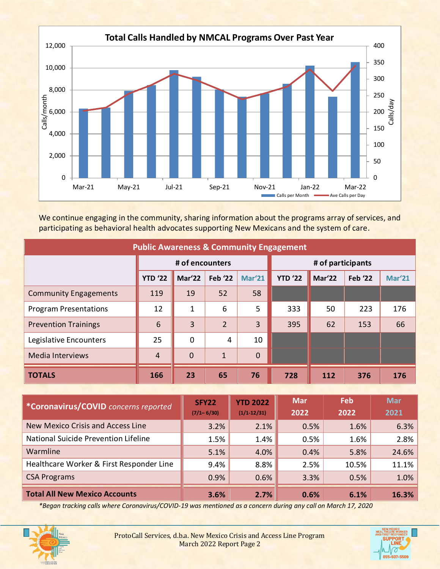

We continue engaging in the community, sharing information about the programs array of services, and participating as behavioral health advocates supporting New Mexicans and the system of care.

| <b>Public Awareness &amp; Community Engagement</b> |                 |                |                |               |                |                   |                |        |
|----------------------------------------------------|-----------------|----------------|----------------|---------------|----------------|-------------------|----------------|--------|
|                                                    | # of encounters |                |                |               |                | # of participants |                |        |
|                                                    | <b>YTD '22</b>  | Mar'22         | <b>Feb '22</b> | <b>Mar'21</b> | <b>YTD '22</b> | Mar'22            | <b>Feb '22</b> | Mar'21 |
| <b>Community Engagements</b>                       | 119             | 19             | 52             | 58            |                |                   |                |        |
| <b>Program Presentations</b>                       | 12              | 1              | 6              | 5             | 333            | 50                | 223            | 176    |
| <b>Prevention Trainings</b>                        | 6               | 3              | $\overline{2}$ | 3             | 395            | 62                | 153            | 66     |
| Legislative Encounters                             | 25              | $\overline{0}$ | 4              | 10            |                |                   |                |        |
| Media Interviews                                   | $\overline{4}$  | $\Omega$       | $\mathbf{1}$   | $\Omega$      |                |                   |                |        |
| <b>TOTALS</b>                                      | 166             | 23             | 65             | 76            | 728            | 112               | 376            | 176    |

| *Coronavirus/COVID concerns reported     | SFY <sub>22</sub><br>$(7/1 - 6/30)$ | <b>YTD 2022</b><br>$(1/1-12/31)$ | <b>Mar</b><br>2022 | <b>Feb</b><br>2022 | <b>Mar</b><br>2021 |
|------------------------------------------|-------------------------------------|----------------------------------|--------------------|--------------------|--------------------|
| New Mexico Crisis and Access Line        | 3.2%                                | 2.1%                             | 0.5%               | 1.6%               | 6.3%               |
| National Suicide Prevention Lifeline     | 1.5%                                | 1.4%                             | 0.5%               | 1.6%               | 2.8%               |
| Warmline                                 | 5.1%                                | $4.0\%$                          | 0.4%               | 5.8%               | 24.6%              |
| Healthcare Worker & First Responder Line | 9.4%                                | $8.8\%$                          | 2.5%               | 10.5%              | 11.1%              |
| <b>CSA Programs</b>                      | 0.9%                                | $0.6\%$                          | 3.3%               | 0.5%               | 1.0%               |
| <b>Total All New Mexico Accounts</b>     | 3.6%                                | 2.7%                             | 0.6%               | 6.1%               | 16.3%              |

*\*Began tracking calls where Coronavirus/COVID-19 was mentioned as a concern during any call on March 17, 2020*



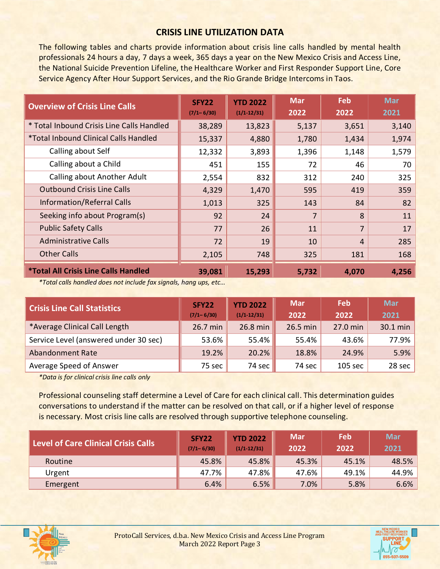### **CRISIS LINE UTILIZATION DATA**

The following tables and charts provide information about crisis line calls handled by mental health professionals 24 hours a day, 7 days a week, 365 days a year on the New Mexico Crisis and Access Line, the National Suicide Prevention Lifeline, the Healthcare Worker and First Responder Support Line, Core Service Agency After Hour Support Services, and the Rio Grande Bridge Intercoms in Taos.

| <b>Overview of Crisis Line Calls</b>               | SFY <sub>22</sub> | <b>YTD 2022</b> | <b>Mar</b> | Feb            | <b>Mar</b> |
|----------------------------------------------------|-------------------|-----------------|------------|----------------|------------|
|                                                    | $(7/1 - 6/30)$    | $(1/1 - 12/31)$ | 2022       | 2022           | 2021       |
| * Total Inbound Crisis Line Calls Handled          | 38,289            | 13,823          | 5,137      | 3,651          | 3,140      |
| <i>*Total Inbound Clinical Calls Handled</i>       | 15,337            | 4,880           | 1,780      | 1,434          | 1,974      |
| Calling about Self                                 | 12,332            | 3,893           | 1,396      | 1,148          | 1,579      |
| Calling about a Child                              | 451               | 155             | 72         | 46             | 70         |
| Calling about Another Adult                        | 2,554             | 832             | 312        | 240            | 325        |
| <b>Outbound Crisis Line Calls</b>                  | 4,329             | 1,470           | 595        | 419            | 359        |
| Information/Referral Calls                         | 1,013             | 325             | 143        | 84             | 82         |
| Seeking info about Program(s)                      | 92                | 24              | 7          | 8              | 11         |
| <b>Public Safety Calls</b>                         | 77                | 26              | 11         | $\overline{7}$ | 17         |
| <b>Administrative Calls</b>                        | 72                | 19              | 10         | $\overline{4}$ | 285        |
| <b>Other Calls</b>                                 | 2,105             | 748             | 325        | 181            | 168        |
| <i><b>*Total All Crisis Line Calls Handled</b></i> | 39,081            | 15,293          | 5,732      | 4,070          | 4,256      |

*\*Total calls handled does not include fax signals, hang ups, etc…*

| SFY22<br>$(7/1 - 6/30)$ | <b>YTD 2022</b><br>$(1/1 - 12/31)$ | <b>Mar</b><br>2022 | Feb<br>2022 | <b>Mar</b><br>2021 |
|-------------------------|------------------------------------|--------------------|-------------|--------------------|
| 26.7 min                | 26.8 min                           | 26.5 min           | 27.0 min    | 30.1 min           |
| 53.6%                   | 55.4%                              | 55.4%              | 43.6%       | 77.9%              |
| 19.2%                   | 20.2%                              | 18.8%              | 24.9%       | 5.9%               |
| 75 sec                  | 74 sec $ $                         | 74 sec             | 105 sec     | $28 \text{ sec}$   |
|                         |                                    |                    |             |                    |

*\*Data is for clinical crisis line calls only*

Professional counseling staff determine a Level of Care for each clinical call. This determination guides conversations to understand if the matter can be resolved on that call, or if a higher level of response is necessary. Most crisis line calls are resolved through supportive telephone counseling.

| <b>Level of Care Clinical Crisis Calls</b> | SFY <sub>22</sub><br>$(7/1 - 6/30)$ | <b>YTD 2022</b><br>$(1/1 - 12/31)$ | <b>Mar</b><br>2022 | Feb<br>2022 | Mar<br>2021 |
|--------------------------------------------|-------------------------------------|------------------------------------|--------------------|-------------|-------------|
| Routine                                    | 45.8%                               | 45.8%                              | 45.3%              | 45.1%       | 48.5%       |
| Urgent                                     | 47.7%                               | 47.8%                              | 47.6%              | 49.1%       | 44.9%       |
| Emergent                                   | 6.4%                                | 6.5%                               | 7.0%               | 5.8%        | 6.6%        |



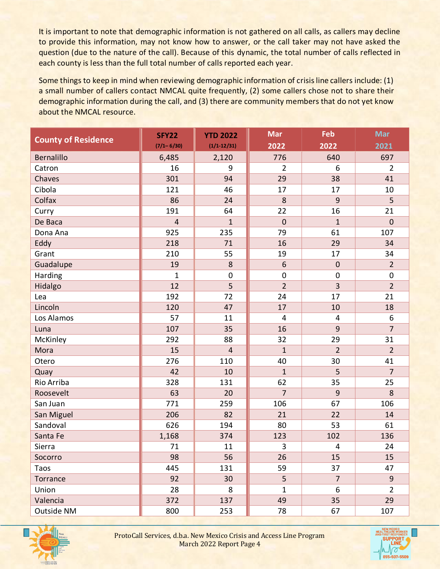It is important to note that demographic information is not gathered on all calls, as callers may decline to provide this information, may not know how to answer, or the call taker may not have asked the question (due to the nature of the call). Because of this dynamic, the total number of calls reflected in each county is less than the full total number of calls reported each year.

Some things to keep in mind when reviewing demographic information of crisis line callers include: (1) a small number of callers contact NMCAL quite frequently, (2) some callers chose not to share their demographic information during the call, and (3) there are community members that do not yet know about the NMCAL resource.

|                            | <b>SFY22</b>   | <b>YTD 2022</b> | <b>Mar</b>     | Feb            | <b>Mar</b>     |
|----------------------------|----------------|-----------------|----------------|----------------|----------------|
| <b>County of Residence</b> | $(7/1 - 6/30)$ | $(1/1 - 12/31)$ | 2022           | 2022           | 2021           |
| <b>Bernalillo</b>          | 6,485          | 2,120           | 776            | 640            | 697            |
| Catron                     | 16             | 9               | $\overline{2}$ | 6              | $\overline{2}$ |
| Chaves                     | 301            | 94              | 29             | 38             | 41             |
| Cibola                     | 121            | 46              | 17             | 17             | 10             |
| Colfax                     | 86             | 24              | 8              | 9              | 5              |
| Curry                      | 191            | 64              | 22             | 16             | 21             |
| De Baca                    | $\overline{4}$ | $\mathbf{1}$    | $\mathbf 0$    | $\mathbf{1}$   | $\mathbf 0$    |
| Dona Ana                   | 925            | 235             | 79             | 61             | 107            |
| Eddy                       | 218            | 71              | 16             | 29             | 34             |
| Grant                      | 210            | 55              | 19             | 17             | 34             |
| Guadalupe                  | 19             | 8               | 6              | $\mathbf 0$    | $\overline{2}$ |
| Harding                    | $\mathbf{1}$   | $\pmb{0}$       | $\pmb{0}$      | $\pmb{0}$      | $\pmb{0}$      |
| Hidalgo                    | 12             | 5               | $\overline{2}$ | $\overline{3}$ | $\overline{2}$ |
| Lea                        | 192            | 72              | 24             | 17             | 21             |
| Lincoln                    | 120            | 47              | 17             | 10             | 18             |
| Los Alamos                 | 57             | 11              | 4              | $\overline{4}$ | 6              |
| Luna                       | 107            | 35              | 16             | 9              | $\overline{7}$ |
| McKinley                   | 292            | 88              | 32             | 29             | 31             |
| Mora                       | 15             | $\overline{4}$  | $\mathbf{1}$   | $\overline{2}$ | $\overline{2}$ |
| Otero                      | 276            | 110             | 40             | 30             | 41             |
| Quay                       | 42             | 10              | $\mathbf{1}$   | 5              | $\overline{7}$ |
| Rio Arriba                 | 328            | 131             | 62             | 35             | 25             |
| Roosevelt                  | 63             | 20              | $\overline{7}$ | $9$            | $\,8\,$        |
| San Juan                   | 771            | 259             | 106            | 67             | 106            |
| San Miguel                 | 206            | 82              | 21             | 22             | 14             |
| Sandoval                   | 626            | 194             | 80             | 53             | 61             |
| Santa Fe                   | 1,168          | 374             | 123            | 102            | 136            |
| Sierra                     | 71             | 11              | 3              | $\overline{4}$ | 24             |
| Socorro                    | 98             | 56              | 26             | 15             | 15             |
| Taos                       | 445            | 131             | 59             | 37             | 47             |
| Torrance                   | 92             | 30              | 5              | $\overline{7}$ | $\overline{9}$ |
| Union                      | 28             | 8               | $\mathbf{1}$   | 6              | $\overline{2}$ |
| Valencia                   | 372            | 137             | 49             | 35             | 29             |
| Outside NM                 | 800            | 253             | 78             | 67             | 107            |



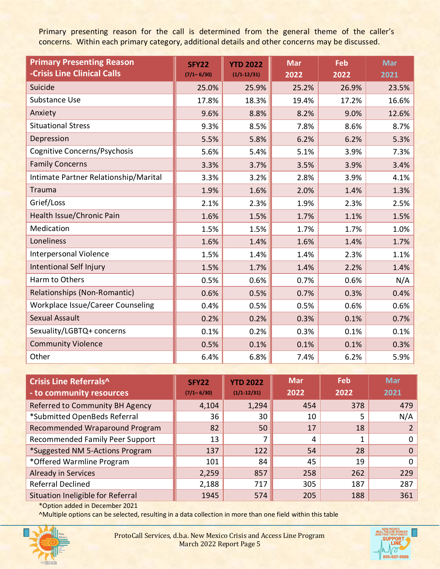Primary presenting reason for the call is determined from the general theme of the caller's concerns. Within each primary category, additional details and other concerns may be discussed.

| <b>Primary Presenting Reason</b><br>-Crisis Line Clinical Calls | <b>SFY22</b><br>$(7/1 - 6/30)$ | <b>YTD 2022</b><br>$(1/1 - 12/31)$ | <b>Mar</b><br>2022 | <b>Feb</b><br>2022 | <b>Mar</b><br>2021 |
|-----------------------------------------------------------------|--------------------------------|------------------------------------|--------------------|--------------------|--------------------|
| Suicide                                                         | 25.0%                          | 25.9%                              | 25.2%              | 26.9%              | 23.5%              |
| Substance Use                                                   | 17.8%                          | 18.3%                              | 19.4%              | 17.2%              | 16.6%              |
| Anxiety                                                         | 9.6%                           | 8.8%                               | 8.2%               | 9.0%               | 12.6%              |
| <b>Situational Stress</b>                                       | 9.3%                           | 8.5%                               | 7.8%               | 8.6%               | 8.7%               |
| Depression                                                      | 5.5%                           | 5.8%                               | 6.2%               | 6.2%               | 5.3%               |
| Cognitive Concerns/Psychosis                                    | 5.6%                           | 5.4%                               | 5.1%               | 3.9%               | 7.3%               |
| <b>Family Concerns</b>                                          | 3.3%                           | 3.7%                               | 3.5%               | 3.9%               | 3.4%               |
| Intimate Partner Relationship/Marital                           | 3.3%                           | 3.2%                               | 2.8%               | 3.9%               | 4.1%               |
| Trauma                                                          | 1.9%                           | 1.6%                               | 2.0%               | 1.4%               | 1.3%               |
| Grief/Loss                                                      | 2.1%                           | 2.3%                               | 1.9%               | 2.3%               | 2.5%               |
| Health Issue/Chronic Pain                                       | 1.6%                           | 1.5%                               | 1.7%               | 1.1%               | 1.5%               |
| Medication                                                      | 1.5%                           | 1.5%                               | 1.7%               | 1.7%               | 1.0%               |
| Loneliness                                                      | 1.6%                           | 1.4%                               | 1.6%               | 1.4%               | 1.7%               |
| <b>Interpersonal Violence</b>                                   | 1.5%                           | 1.4%                               | 1.4%               | 2.3%               | 1.1%               |
| <b>Intentional Self Injury</b>                                  | 1.5%                           | 1.7%                               | 1.4%               | 2.2%               | 1.4%               |
| Harm to Others                                                  | 0.5%                           | 0.6%                               | 0.7%               | 0.6%               | N/A                |
| Relationships (Non-Romantic)                                    | 0.6%                           | 0.5%                               | 0.7%               | 0.3%               | 0.4%               |
| Workplace Issue/Career Counseling                               | 0.4%                           | 0.5%                               | 0.5%               | 0.6%               | 0.6%               |
| <b>Sexual Assault</b>                                           | 0.2%                           | 0.2%                               | 0.3%               | 0.1%               | 0.7%               |
| Sexuality/LGBTQ+ concerns                                       | 0.1%                           | 0.2%                               | 0.3%               | 0.1%               | 0.1%               |
| <b>Community Violence</b>                                       | 0.5%                           | 0.1%                               | 0.1%               | 0.1%               | 0.3%               |
| Other                                                           | 6.4%                           | 6.8%                               | 7.4%               | 6.2%               | 5.9%               |

| Crisis Line Referrals^<br>- to community resources | <b>SFY22</b><br>$(7/1 - 6/30)$ | <b>YTD 2022</b><br>$(1/1 - 12/31)$ | <b>Mar</b><br>2022 | Feb<br>2022 | <b>Mar</b><br>2021 |
|----------------------------------------------------|--------------------------------|------------------------------------|--------------------|-------------|--------------------|
| Referred to Community BH Agency                    | 4,104                          | 1,294                              | 454                | 378         | 479                |
| *Submitted OpenBeds Referral                       | 36                             | 30                                 | 10                 | 5           | N/A                |
| Recommended Wraparound Program                     | 82                             | 50                                 | 17                 | 18          |                    |
| Recommended Family Peer Support                    | 13                             |                                    | 4                  | 1           | 0                  |
| *Suggested NM 5-Actions Program                    | 137                            | 122                                | 54                 | 28          | $\Omega$           |
| *Offered Warmline Program                          | 101                            | 84                                 | 45                 | 19          | 0                  |
| <b>Already in Services</b>                         | 2,259                          | 857                                | 258                | 262         | 229                |
| Referral Declined                                  | 2,188                          | 717                                | 305                | 187         | 287                |
| Situation Ineligible for Referral                  | 1945                           | 574                                | 205                | 188         | 361                |

\*Option added in December 2021

^Multiple options can be selected, resulting in a data collection in more than one field within this table



ProtoCall Services, d.b.a. New Mexico Crisis and Access Line Program March 2022 Report Page 5

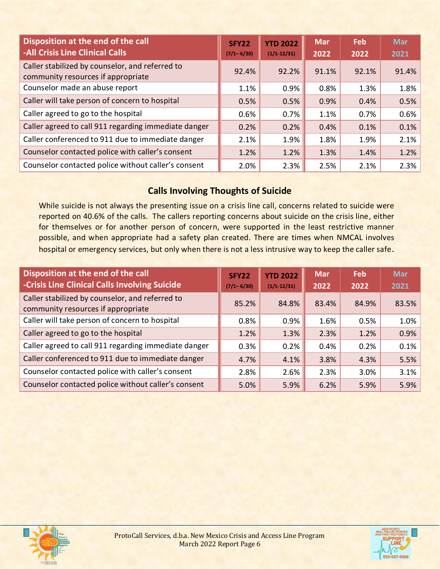| Disposition at the end of the call<br>-All Crisis Line Clinical Calls                 | <b>SFY22</b><br>$(7/1 - 6/30)$ | <b>YTD 2022</b><br>$(1/1-12/31)$ | <b>Mar</b><br>2022 | <b>Feb</b><br>2022 | <b>Mar</b><br>2021 |
|---------------------------------------------------------------------------------------|--------------------------------|----------------------------------|--------------------|--------------------|--------------------|
| Caller stabilized by counselor, and referred to<br>community resources if appropriate | 92.4%                          | 92.2%                            | 91.1%              | 92.1%              | 91.4%              |
| Counselor made an abuse report                                                        | 1.1%                           | 0.9%                             | 0.8%               | 1.3%               | 1.8%               |
| Caller will take person of concern to hospital                                        | 0.5%                           | 0.5%                             | 0.9%               | 0.4%               | 0.5%               |
| Caller agreed to go to the hospital                                                   | 0.6%                           | 0.7%                             | 1.1%               | 0.7%               | 0.6%               |
| Caller agreed to call 911 regarding immediate danger                                  | 0.2%                           | 0.2%                             | 0.4%               | 0.1%               | 0.1%               |
| Caller conferenced to 911 due to immediate danger                                     | 2.1%                           | 1.9%                             | 1.8%               | 1.9%               | 2.1%               |
| Counselor contacted police with caller's consent                                      | 1.2%                           | 1.2%                             | 1.3%               | 1.4%               | 1.2%               |
| Counselor contacted police without caller's consent                                   | 2.0%                           | 2.3%                             | 2.5%               | 2.1%               | 2.3%               |

# **Calls Involving Thoughts of Suicide**

While suicide is not always the presenting issue on a crisis line call, concerns related to suicide were reported on 40.6% of the calls. The callers reporting concerns about suicide on the crisis line, either for themselves or for another person of concern, were supported in the least restrictive manner possible, and when appropriate had a safety plan created. There are times when NMCAL involves hospital or emergency services, but only when there is not a less intrusive way to keep the caller safe.

| Disposition at the end of the call<br>-Crisis Line Clinical Calls Involving Suicide   | <b>SFY22</b><br>$(7/1 - 6/30)$ | <b>YTD 2022</b><br>$(1/1-12/31)$ | <b>Mar</b><br>2022 | <b>Feb</b><br>2022 | <b>Mar</b><br>2021 |
|---------------------------------------------------------------------------------------|--------------------------------|----------------------------------|--------------------|--------------------|--------------------|
| Caller stabilized by counselor, and referred to<br>community resources if appropriate | 85.2%                          | 84.8%                            | 83.4%              | 84.9%              | 83.5%              |
| Caller will take person of concern to hospital                                        | 0.8%                           | $0.9\%$                          | 1.6%               | 0.5%               | 1.0%               |
| Caller agreed to go to the hospital                                                   | 1.2%                           | 1.3%                             | 2.3%               | 1.2%               | 0.9%               |
| Caller agreed to call 911 regarding immediate danger                                  | 0.3%                           | $0.2\%$                          | 0.4%               | 0.2%               | 0.1%               |
| Caller conferenced to 911 due to immediate danger                                     | 4.7%                           | $4.1\%$                          | 3.8%               | 4.3%               | 5.5%               |
| Counselor contacted police with caller's consent                                      | 2.8%                           | $2.6\%$                          | 2.3%               | 3.0%               | 3.1%               |
| Counselor contacted police without caller's consent                                   | 5.0%                           | 5.9%                             | 6.2%               | 5.9%               | 5.9%               |



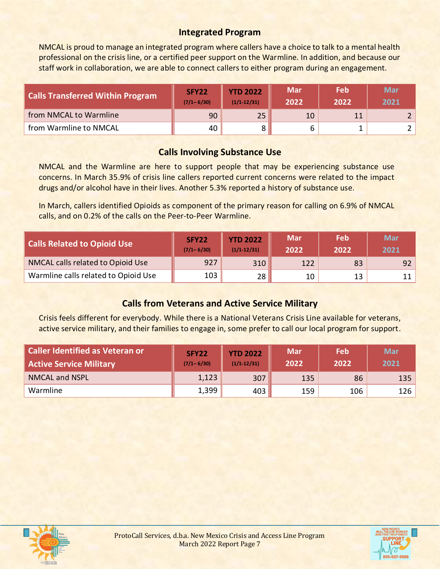# **Integrated Program**

NMCAL is proud to manage an integrated program where callers have a choice to talk to a mental health professional on the crisis line, or a certified peer support on the Warmline. In addition, and because our staff work in collaboration, we are able to connect callers to either program during an engagement.

| <b>Calls Transferred Within Program</b> | SFY <sub>22</sub><br>$(7/1 - 6/30)$ | <b>YTD 2022</b><br>$(1/1-12/31)$ | <b>Mar</b><br>2022 | Feb<br>2022 | <b>Mar</b><br>2021 |
|-----------------------------------------|-------------------------------------|----------------------------------|--------------------|-------------|--------------------|
| from NMCAL to Warmline                  | 90                                  | 25.                              | 10                 | 11          |                    |
| from Warmline to NMCAL                  | 40                                  |                                  |                    |             |                    |

## **Calls Involving Substance Use**

NMCAL and the Warmline are here to support people that may be experiencing substance use concerns. In March 35.9% of crisis line callers reported current concerns were related to the impact drugs and/or alcohol have in their lives. Another 5.3% reported a history of substance use.

In March, callers identified Opioids as component of the primary reason for calling on 6.9% of NMCAL calls, and on 0.2% of the calls on the Peer-to-Peer Warmline.

| <b>Calls Related to Opioid Use</b>   | SFY <sub>22</sub><br>$(7/1 - 6/30)$ | <b>YTD 2022</b><br>$(1/1-12/31)$ | <b>Mar</b><br>2022 | Feb<br>2022 | Mar<br>2021 |
|--------------------------------------|-------------------------------------|----------------------------------|--------------------|-------------|-------------|
| NMCAL calls related to Opioid Use    | 927                                 | 310                              | 122                | 83          | 92          |
| Warmline calls related to Opioid Use | 103                                 | 28                               | 10                 | 13          |             |

# **Calls from Veterans and Active Service Military**

Crisis feels different for everybody. While there is a National Veterans Crisis Line available for veterans, active service military, and their families to engage in, some prefer to call our local program for support.

| Caller Identified as Veteran or<br>Active Service Military | <b>SFY22</b><br>$(7/1 - 6/30)$ | <b>YTD 2022</b><br>$(1/1 - 12/31)$ | <b>Mar</b><br>2022 | Feb<br>2022 | <b>Mar</b><br>2021 |
|------------------------------------------------------------|--------------------------------|------------------------------------|--------------------|-------------|--------------------|
| <b>NMCAL and NSPL</b>                                      | 1,123                          | 307                                | 135                | 86          | 135                |
| Warmline                                                   | 1,399                          | 403                                | 159                | 106         | 126                |



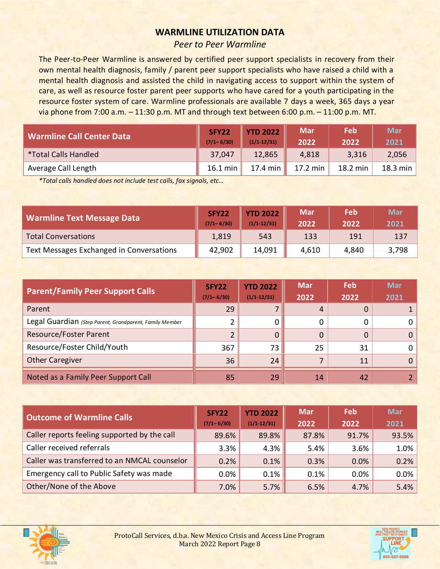### **WARMLINE UTILIZATION DATA**

#### *Peer to Peer Warmline*

The Peer-to-Peer Warmline is answered by certified peer support specialists in recovery from their own mental health diagnosis, family / parent peer support specialists who have raised a child with a mental health diagnosis and assisted the child in navigating access to support within the system of care, as well as resource foster parent peer supports who have cared for a youth participating in the resource foster system of care. Warmline professionals are available 7 days a week, 365 days a year via phone from 7:00 a.m. – 11:30 p.m. MT and through text between 6:00 p.m. – 11:00 p.m. MT.

| <b>Warmline Call Center Data</b> | SFY22<br>$(7/1 - 6/30)$ | <b>YTD 2022</b><br>$(1/1-12/31)$ | <b>Mar</b><br>2022 | Feb<br>2022 | <b>Mar</b><br>2021 |
|----------------------------------|-------------------------|----------------------------------|--------------------|-------------|--------------------|
| <i>*</i> Total Calls Handled     | 37,047                  | 12,865                           | 4,818              | 3,316       | 2,056              |
| Average Call Length              | 16.1 min                | 17.4 min                         | 17.2 min           | 18.2 min    | 18.3 min           |

*\*Total calls handled does not include test calls, fax signals, etc…*

| <b>Warmline Text Message Data</b>        | SFY22<br>$(7/1 - 6/30)$ | <b>YTD 2022</b><br>$(1/1-12/31)$ | <b>Mar</b><br>2022 | Feb<br>2022 | <b>Mar</b><br>2021 |
|------------------------------------------|-------------------------|----------------------------------|--------------------|-------------|--------------------|
| <b>Total Conversations</b>               | 1,819                   | 543                              | 133                | 191         | 137                |
| Text Messages Exchanged in Conversations | 42,902                  | 14,091                           | 4,610              | 4,840       | 3,798              |

| <b>Parent/Family Peer Support Calls</b>                 | <b>SFY22</b><br>$(7/1 - 6/30)$ | <b>YTD 2022</b><br>$(1/1-12/31)$ | <b>Mar</b><br>2022 | Feb<br>2022 | <b>Mar</b><br>2021 |
|---------------------------------------------------------|--------------------------------|----------------------------------|--------------------|-------------|--------------------|
| Parent                                                  | 29                             |                                  | 4                  |             |                    |
| Legal Guardian (Step Parent, Grandparent, Family Member |                                | 0                                | 0                  | 0           |                    |
| <b>Resource/Foster Parent</b>                           |                                | 0                                | 0                  |             |                    |
| Resource/Foster Child/Youth                             | 367                            | 73                               | 25                 | 31          |                    |
| <b>Other Caregiver</b>                                  | 36                             | 24                               |                    | 11          |                    |
| Noted as a Family Peer Support Call                     | 85                             | 29                               | 14                 | 42          |                    |

| <b>Outcome of Warmline Calls</b>             | SFY22<br>$(7/1 - 6/30)$ | <b>YTD 2022</b><br>$(1/1-12/31)$ | <b>Mar</b><br>2022 | Feb<br>2022 | <b>Mar</b><br>2021 |
|----------------------------------------------|-------------------------|----------------------------------|--------------------|-------------|--------------------|
|                                              |                         |                                  |                    |             |                    |
| Caller reports feeling supported by the call | 89.6%                   | 89.8%                            | 87.8%              | 91.7%       | 93.5%              |
| Caller received referrals                    | 3.3%                    | 4.3%                             | 5.4%               | 3.6%        | 1.0%               |
| Caller was transferred to an NMCAL counselor | 0.2%                    | $0.1\%$                          | 0.3%               | 0.0%        | 0.2%               |
| Emergency call to Public Safety was made     | 0.0%                    | $0.1\%$                          | 0.1%               | 0.0%        | 0.0%               |
| Other/None of the Above                      | 7.0%                    | 5.7%                             | 6.5%               | 4.7%        | 5.4%               |



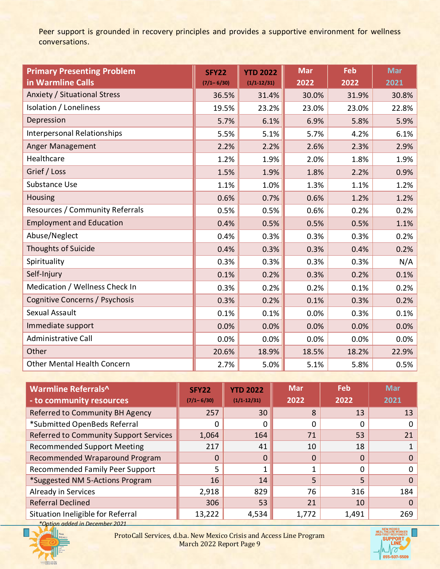Peer support is grounded in recovery principles and provides a supportive environment for wellness conversations.

| <b>Primary Presenting Problem</b>  | <b>SFY22</b>   | <b>YTD 2022</b> | <b>Mar</b> | Feb   | <b>Mar</b> |
|------------------------------------|----------------|-----------------|------------|-------|------------|
| in Warmline Calls                  | $(7/1 - 6/30)$ | $(1/1 - 12/31)$ | 2022       | 2022  | 2021       |
| Anxiety / Situational Stress       | 36.5%          | 31.4%           | 30.0%      | 31.9% | 30.8%      |
| Isolation / Loneliness             | 19.5%          | 23.2%           | 23.0%      | 23.0% | 22.8%      |
| Depression                         | 5.7%           | 6.1%            | 6.9%       | 5.8%  | 5.9%       |
| <b>Interpersonal Relationships</b> | 5.5%           | 5.1%            | 5.7%       | 4.2%  | 6.1%       |
| Anger Management                   | 2.2%           | 2.2%            | 2.6%       | 2.3%  | 2.9%       |
| Healthcare                         | 1.2%           | 1.9%            | 2.0%       | 1.8%  | 1.9%       |
| Grief / Loss                       | 1.5%           | 1.9%            | 1.8%       | 2.2%  | 0.9%       |
| Substance Use                      | 1.1%           | 1.0%            | 1.3%       | 1.1%  | 1.2%       |
| Housing                            | 0.6%           | 0.7%            | 0.6%       | 1.2%  | 1.2%       |
| Resources / Community Referrals    | 0.5%           | 0.5%            | 0.6%       | 0.2%  | 0.2%       |
| <b>Employment and Education</b>    | 0.4%           | 0.5%            | 0.5%       | 0.5%  | 1.1%       |
| Abuse/Neglect                      | 0.4%           | 0.3%            | 0.3%       | 0.3%  | 0.2%       |
| <b>Thoughts of Suicide</b>         | 0.4%           | 0.3%            | 0.3%       | 0.4%  | 0.2%       |
| Spirituality                       | 0.3%           | 0.3%            | 0.3%       | 0.3%  | N/A        |
| Self-Injury                        | 0.1%           | 0.2%            | 0.3%       | 0.2%  | 0.1%       |
| Medication / Wellness Check In     | 0.3%           | 0.2%            | 0.2%       | 0.1%  | 0.2%       |
| Cognitive Concerns / Psychosis     | 0.3%           | 0.2%            | 0.1%       | 0.3%  | 0.2%       |
| Sexual Assault                     | 0.1%           | 0.1%            | 0.0%       | 0.3%  | 0.1%       |
| Immediate support                  | 0.0%           | 0.0%            | 0.0%       | 0.0%  | 0.0%       |
| <b>Administrative Call</b>         | 0.0%           | 0.0%            | 0.0%       | 0.0%  | 0.0%       |
| Other                              | 20.6%          | 18.9%           | 18.5%      | 18.2% | 22.9%      |
| <b>Other Mental Health Concern</b> | 2.7%           | 5.0%            | 5.1%       | 5.8%  | 0.5%       |

| Warmline Referrals^<br>- to community resources | <b>SFY22</b><br>$(7/1 - 6/30)$ | <b>YTD 2022</b><br>$(1/1 - 12/31)$ | <b>Mar</b><br>2022 | Feb<br>2022 | <b>Mar</b><br>2021 |
|-------------------------------------------------|--------------------------------|------------------------------------|--------------------|-------------|--------------------|
| Referred to Community BH Agency                 | 257                            | 30                                 | 8                  | 13          | 13                 |
| *Submitted OpenBeds Referral                    | 0                              | 0                                  | 0                  | 0           | 0                  |
| <b>Referred to Community Support Services</b>   | 1,064                          | 164                                | 71                 | 53          | 21                 |
| <b>Recommended Support Meeting</b>              | 217                            | 41                                 | 10                 | 18          |                    |
| Recommended Wraparound Program                  | $\Omega$                       | 0                                  | $\Omega$           | $\Omega$    | $\Omega$           |
| Recommended Family Peer Support                 | 5                              |                                    |                    | 0           | $\Omega$           |
| *Suggested NM 5-Actions Program                 | 16                             | 14                                 | 5                  | 5           | $\Omega$           |
| Already in Services                             | 2,918                          | 829                                | 76                 | 316         | 184                |
| <b>Referral Declined</b>                        | 306                            | 53                                 | 21                 | 10          | 0                  |
| Situation Ineligible for Referral               | 13,222                         | 4,534                              | 1,772              | 1,491       | 269                |
| *Option added in December 2021                  |                                |                                    |                    |             |                    |



ProtoCall Services, d.b.a. New Mexico Crisis and Access Line Program March 2022 Report Page 9

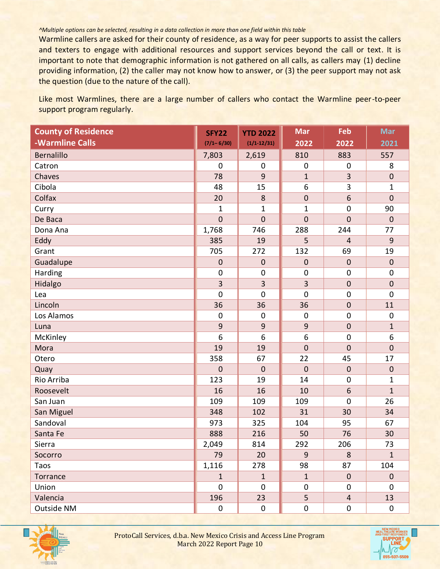#### *^Multiple options can be selected, resulting in a data collection in more than one field within this table*

Warmline callers are asked for their county of residence, as a way for peer supports to assist the callers and texters to engage with additional resources and support services beyond the call or text. It is important to note that demographic information is not gathered on all calls, as callers may (1) decline providing information, (2) the caller may not know how to answer, or (3) the peer support may not ask the question (due to the nature of the call).

Like most Warmlines, there are a large number of callers who contact the Warmline peer-to-peer support program regularly.

| <b>County of Residence</b> | <b>SFY22</b>     | <b>YTD 2022</b> | <b>Mar</b>     | Feb            | <b>Mar</b>       |
|----------------------------|------------------|-----------------|----------------|----------------|------------------|
| -Warmline Calls            | $(7/1 - 6/30)$   | $(1/1 - 12/31)$ | 2022           | 2022           | 2021             |
| Bernalillo                 | 7,803            | 2,619           | 810            | 883            | 557              |
| Catron                     | $\mathbf 0$      | 0               | $\mathbf 0$    | $\mathbf 0$    | 8                |
| Chaves                     | 78               | 9               | $\mathbf 1$    | 3              | $\mathbf 0$      |
| Cibola                     | 48               | 15              | $6\,$          | 3              | $\mathbf{1}$     |
| Colfax                     | 20               | 8               | $\mathbf 0$    | 6              | $\overline{0}$   |
| Curry                      | 1                | 1               | $\mathbf{1}$   | $\mathbf 0$    | 90               |
| De Baca                    | $\overline{0}$   | $\mathbf 0$     | $\mathbf 0$    | $\mathbf 0$    | $\boldsymbol{0}$ |
| Dona Ana                   | 1,768            | 746             | 288            | 244            | 77               |
| Eddy                       | 385              | 19              | 5              | $\overline{4}$ | $\overline{9}$   |
| Grant                      | 705              | 272             | 132            | 69             | 19               |
| Guadalupe                  | $\boldsymbol{0}$ | $\mathbf 0$     | $\mathbf 0$    | $\mathbf 0$    | $\boldsymbol{0}$ |
| Harding                    | $\mathbf 0$      | $\mathbf 0$     | $\mathbf 0$    | $\mathbf 0$    | 0                |
| Hidalgo                    | 3                | 3               | 3              | $\mathbf 0$    | $\overline{0}$   |
| Lea                        | 0                | $\overline{0}$  | $\mathbf 0$    | $\mathbf 0$    | $\mathbf 0$      |
| Lincoln                    | 36               | 36              | 36             | $\mathbf 0$    | 11               |
| Los Alamos                 | $\mathbf 0$      | $\mathbf 0$     | $\mathbf 0$    | $\mathbf 0$    | 0                |
| Luna                       | 9                | 9               | $\overline{9}$ | $\mathbf 0$    | $\mathbf{1}$     |
| McKinley                   | 6                | 6               | 6              | $\mathbf 0$    | 6                |
| Mora                       | 19               | 19              | $\mathbf 0$    | $\overline{0}$ | $\overline{0}$   |
| Otero                      | 358              | 67              | 22             | 45             | 17               |
| Quay                       | $\mathbf 0$      | $\mathbf 0$     | $\mathbf 0$    | $\mathbf 0$    | $\mathbf 0$      |
| Rio Arriba                 | 123              | 19              | 14             | $\mathbf 0$    | 1                |
| Roosevelt                  | 16               | 16              | 10             | 6              | $\mathbf{1}$     |
| San Juan                   | 109              | 109             | 109            | $\mathbf 0$    | 26               |
| San Miguel                 | 348              | 102             | 31             | 30             | 34               |
| Sandoval                   | 973              | 325             | 104            | 95             | 67               |
| Santa Fe                   | 888              | 216             | 50             | 76             | 30               |
| Sierra                     | 2,049            | 814             | 292            | 206            | 73               |
| Socorro                    | 79               | 20              | $9\,$          | $\bf 8$        | $\mathbf{1}$     |
| Taos                       | 1,116            | 278             | 98             | 87             | 104              |
| Torrance                   | $\mathbf{1}$     | $\mathbf{1}$    | $\mathbf 1$    | $\pmb{0}$      | $\pmb{0}$        |
| Union                      | $\mathbf 0$      | $\mathbf 0$     | $\pmb{0}$      | $\mathbf 0$    | $\mathbf 0$      |
| Valencia                   | 196              | 23              | 5              | $\overline{4}$ | 13               |
| Outside NM                 | $\pmb{0}$        | $\pmb{0}$       | $\pmb{0}$      | $\pmb{0}$      | $\pmb{0}$        |